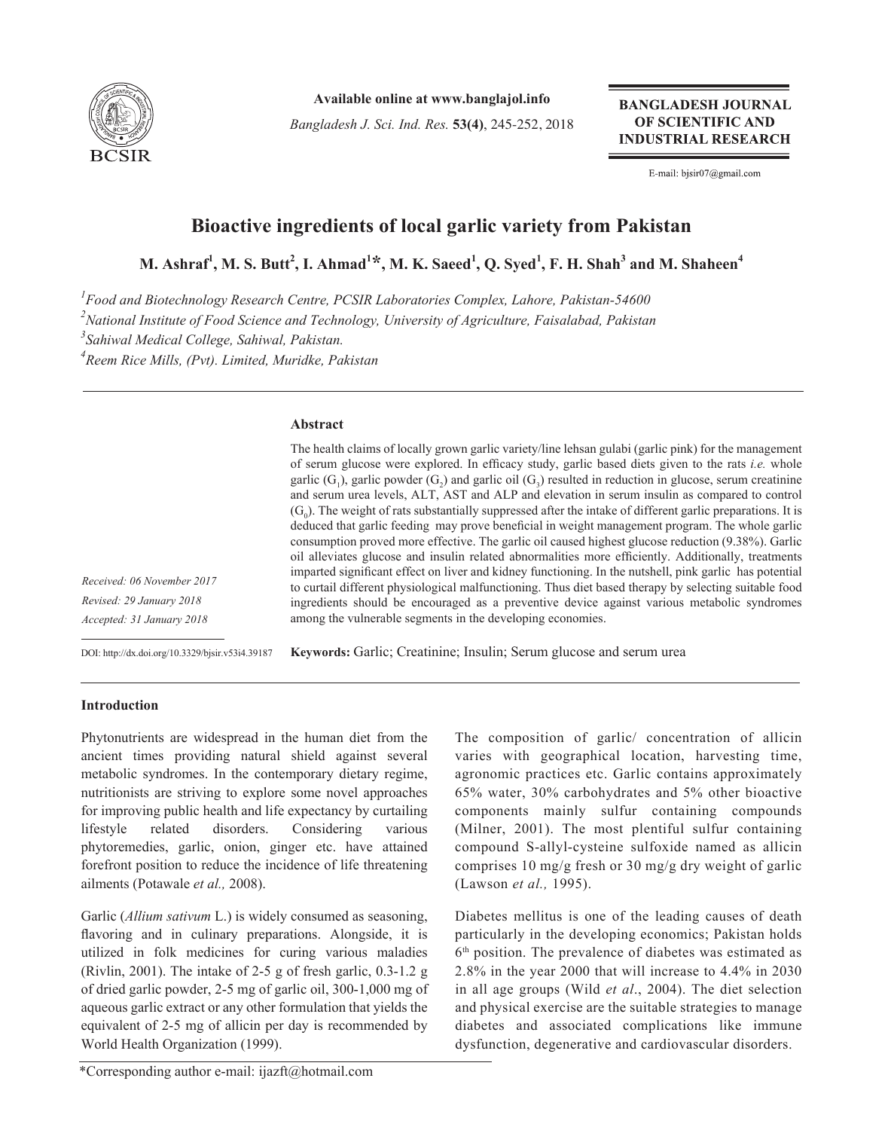

**Available online at www.banglajol.info**

*Bangladesh J. Sci. Ind. Res.* **53(4)**, 245-252, 2018

**BANGLADESH JOURNAL** OF SCIENTIFIC AND **INDUSTRIAL RESEARCH** 

E-mail: bjsir07@gmail.com

# **Bioactive ingredients of local garlic variety from Pakistan**

**M. Ashraf<sup>1</sup> , M. S. Butt<sup>2</sup> , I. Ahmad<sup>1</sup> \*, M. K. Saeed1 , Q. Syed1 , F. H. Shah<sup>3</sup> and M. Shaheen<sup>4</sup>**

*1 Food and Biotechnology Research Centre, PCSIR Laboratories Complex, Lahore, Pakistan-54600 2 National Institute of Food Science and Technology, University of Agriculture, Faisalabad, Pakistan 3 Sahiwal Medical College, Sahiwal, Pakistan.*

*4 Reem Rice Mills, (Pvt). Limited, Muridke, Pakistan*

## **Abstract**

|                  | The health claims of locally grown garlic variety/line lehsan gulabi (garlic pink) for the management<br>of serum glucose were explored. In efficacy study, garlic based diets given to the rats <i>i.e.</i> whole |
|------------------|--------------------------------------------------------------------------------------------------------------------------------------------------------------------------------------------------------------------|
|                  | garlic $(G_1)$ , garlic powder $(G_2)$ and garlic oil $(G_3)$ resulted in reduction in glucose, serum creatinine<br>and serum urea levels, ALT, AST and ALP and elevation in serum insulin as compared to control  |
|                  | $(G_0)$ . The weight of rats substantially suppressed after the intake of different garlic preparations. It is                                                                                                     |
|                  | deduced that garlic feeding may prove beneficial in weight management program. The whole garlic                                                                                                                    |
|                  | consumption proved more effective. The garlic oil caused highest glucose reduction (9.38%). Garlic                                                                                                                 |
|                  | oil alleviates glucose and insulin related abnormalities more efficiently. Additionally, treatments<br>imparted significant effect on liver and kidney functioning. In the nutshell, pink garlic has potential     |
| 06 November 2017 | to curtail different physiological malfunctioning. Thus diet based therapy by selecting suitable food                                                                                                              |
| 9 January 2018   | ingredients should be encouraged as a preventive device against various metabolic syndromes                                                                                                                        |
| 31 January 2018  | among the vulnerable segments in the developing economies.                                                                                                                                                         |
|                  |                                                                                                                                                                                                                    |

DOI: http://dx.doi.org/10.3329/bjsir.v53i4.39187

**Keywords:** Garlic; Creatinine; Insulin; Serum glucose and serum urea

# **Introduction**

 $Received:$ *Revised: 2 Accepted: 31 January 2018*

Phytonutrients are widespread in the human diet from the ancient times providing natural shield against several metabolic syndromes. In the contemporary dietary regime, nutritionists are striving to explore some novel approaches for improving public health and life expectancy by curtailing lifestyle related disorders. Considering various phytoremedies, garlic, onion, ginger etc. have attained forefront position to reduce the incidence of life threatening ailments (Potawale *et al.,* 2008).

Garlic (*Allium sativum* L.) is widely consumed as seasoning, flavoring and in culinary preparations. Alongside, it is utilized in folk medicines for curing various maladies (Rivlin, 2001). The intake of 2-5 g of fresh garlic, 0.3-1.2 g of dried garlic powder, 2-5 mg of garlic oil, 300-1,000 mg of aqueous garlic extract or any other formulation that yields the equivalent of 2-5 mg of allicin per day is recommended by World Health Organization (1999).

The composition of garlic/ concentration of allicin varies with geographical location, harvesting time, agronomic practices etc. Garlic contains approximately 65% water, 30% carbohydrates and 5% other bioactive components mainly sulfur containing compounds (Milner, 2001). The most plentiful sulfur containing compound S-allyl-cysteine sulfoxide named as allicin comprises 10 mg/g fresh or 30 mg/g dry weight of garlic (Lawson *et al.,* 1995).

Diabetes mellitus is one of the leading causes of death particularly in the developing economics; Pakistan holds 6th position. The prevalence of diabetes was estimated as 2.8% in the year 2000 that will increase to 4.4% in 2030 in all age groups (Wild *et al*., 2004). The diet selection and physical exercise are the suitable strategies to manage diabetes and associated complications like immune dysfunction, degenerative and cardiovascular disorders.

<sup>\*</sup>Corresponding author e-mail: ijazft@hotmail.com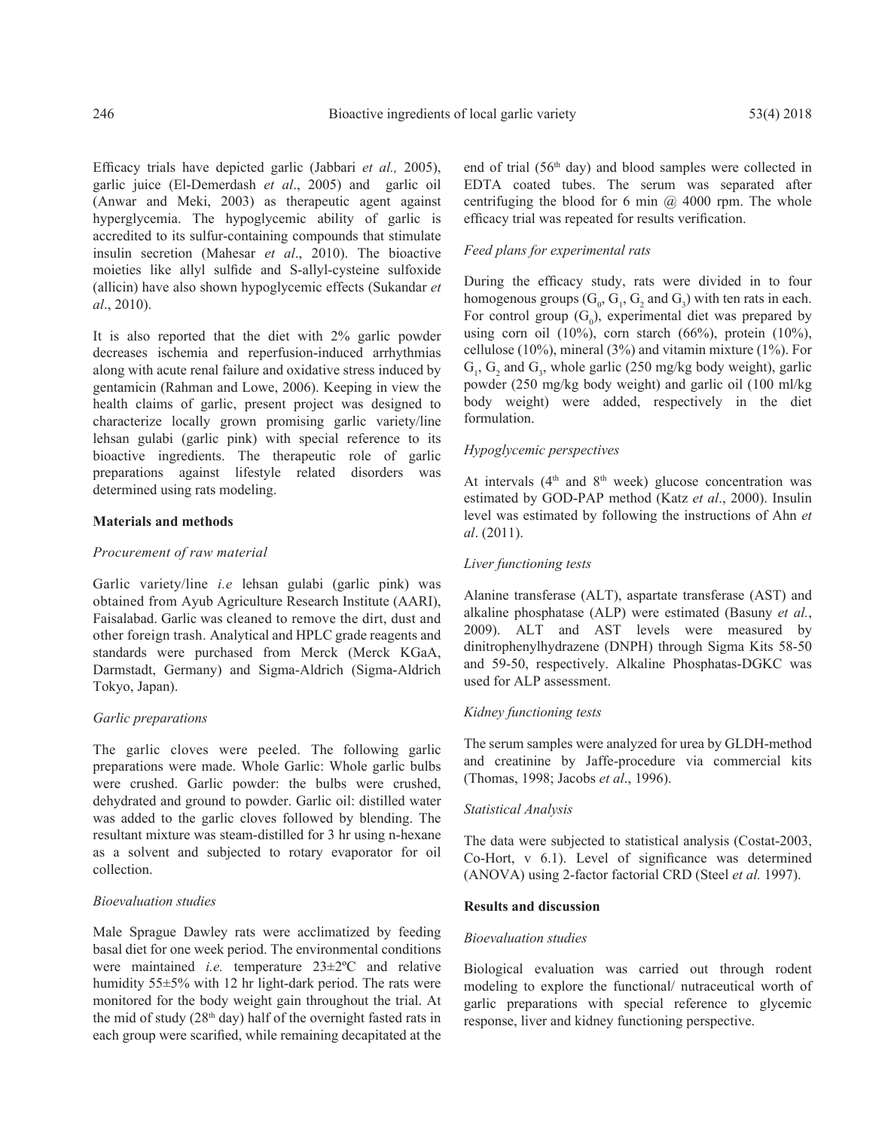Efficacy trials have depicted garlic (Jabbari *et al.,* 2005), garlic juice (El-Demerdash *et al*., 2005) and garlic oil (Anwar and Meki, 2003) as therapeutic agent against hyperglycemia. The hypoglycemic ability of garlic is accredited to its sulfur-containing compounds that stimulate insulin secretion (Mahesar *et al*., 2010). The bioactive moieties like allyl sulfide and S-allyl-cysteine sulfoxide (allicin) have also shown hypoglycemic effects (Sukandar *et al*., 2010).

It is also reported that the diet with 2% garlic powder decreases ischemia and reperfusion-induced arrhythmias along with acute renal failure and oxidative stress induced by gentamicin (Rahman and Lowe, 2006). Keeping in view the health claims of garlic, present project was designed to characterize locally grown promising garlic variety/line lehsan gulabi (garlic pink) with special reference to its bioactive ingredients. The therapeutic role of garlic preparations against lifestyle related disorders was determined using rats modeling.

### **Materials and methods**

#### *Procurement of raw material*

Garlic variety/line *i.e* lehsan gulabi (garlic pink) was obtained from Ayub Agriculture Research Institute (AARI), Faisalabad. Garlic was cleaned to remove the dirt, dust and other foreign trash. Analytical and HPLC grade reagents and standards were purchased from Merck (Merck KGaA, Darmstadt, Germany) and Sigma-Aldrich (Sigma-Aldrich Tokyo, Japan).

#### *Garlic preparations*

The garlic cloves were peeled. The following garlic preparations were made. Whole Garlic: Whole garlic bulbs were crushed. Garlic powder: the bulbs were crushed, dehydrated and ground to powder. Garlic oil: distilled water was added to the garlic cloves followed by blending. The resultant mixture was steam-distilled for 3 hr using n-hexane as a solvent and subjected to rotary evaporator for oil collection.

### *Bioevaluation studies*

Male Sprague Dawley rats were acclimatized by feeding basal diet for one week period. The environmental conditions were maintained *i.e.* temperature 23±2ºC and relative humidity 55±5% with 12 hr light-dark period. The rats were monitored for the body weight gain throughout the trial. At the mid of study ( $28<sup>th</sup>$  day) half of the overnight fasted rats in each group were scarified, while remaining decapitated at the

end of trial (56<sup>th</sup> day) and blood samples were collected in EDTA coated tubes. The serum was separated after centrifuging the blood for 6 min  $(a)$  4000 rpm. The whole efficacy trial was repeated for results verification.

# *Feed plans for experimental rats*

During the efficacy study, rats were divided in to four homogenous groups  $(G_0, G_1, G_2 \text{ and } G_3)$  with ten rats in each. For control group  $(G_0)$ , experimental diet was prepared by using corn oil  $(10\%)$ , corn starch  $(66\%)$ , protein  $(10\%)$ , cellulose (10%), mineral (3%) and vitamin mixture (1%). For  $G_1$ ,  $G_2$  and  $G_3$ , whole garlic (250 mg/kg body weight), garlic powder (250 mg/kg body weight) and garlic oil (100 ml/kg body weight) were added, respectively in the diet formulation.

## *Hypoglycemic perspectives*

At intervals  $(4<sup>th</sup>$  and  $8<sup>th</sup>$  week) glucose concentration was estimated by GOD-PAP method (Katz *et al*., 2000). Insulin level was estimated by following the instructions of Ahn *et al*. (2011).

### *Liver functioning tests*

Alanine transferase (ALT), aspartate transferase (AST) and alkaline phosphatase (ALP) were estimated (Basuny *et al.*, 2009). ALT and AST levels were measured by dinitrophenylhydrazene (DNPH) through Sigma Kits 58-50 and 59-50, respectively. Alkaline Phosphatas-DGKC was used for ALP assessment.

## *Kidney functioning tests*

The serum samples were analyzed for urea by GLDH-method and creatinine by Jaffe-procedure via commercial kits (Thomas, 1998; Jacobs *et al*., 1996).

#### *Statistical Analysis*

The data were subjected to statistical analysis (Costat-2003, Co-Hort, v 6.1). Level of significance was determined (ANOVA) using 2-factor factorial CRD (Steel *et al.* 1997).

#### **Results and discussion**

#### *Bioevaluation studies*

Biological evaluation was carried out through rodent modeling to explore the functional/ nutraceutical worth of garlic preparations with special reference to glycemic response, liver and kidney functioning perspective.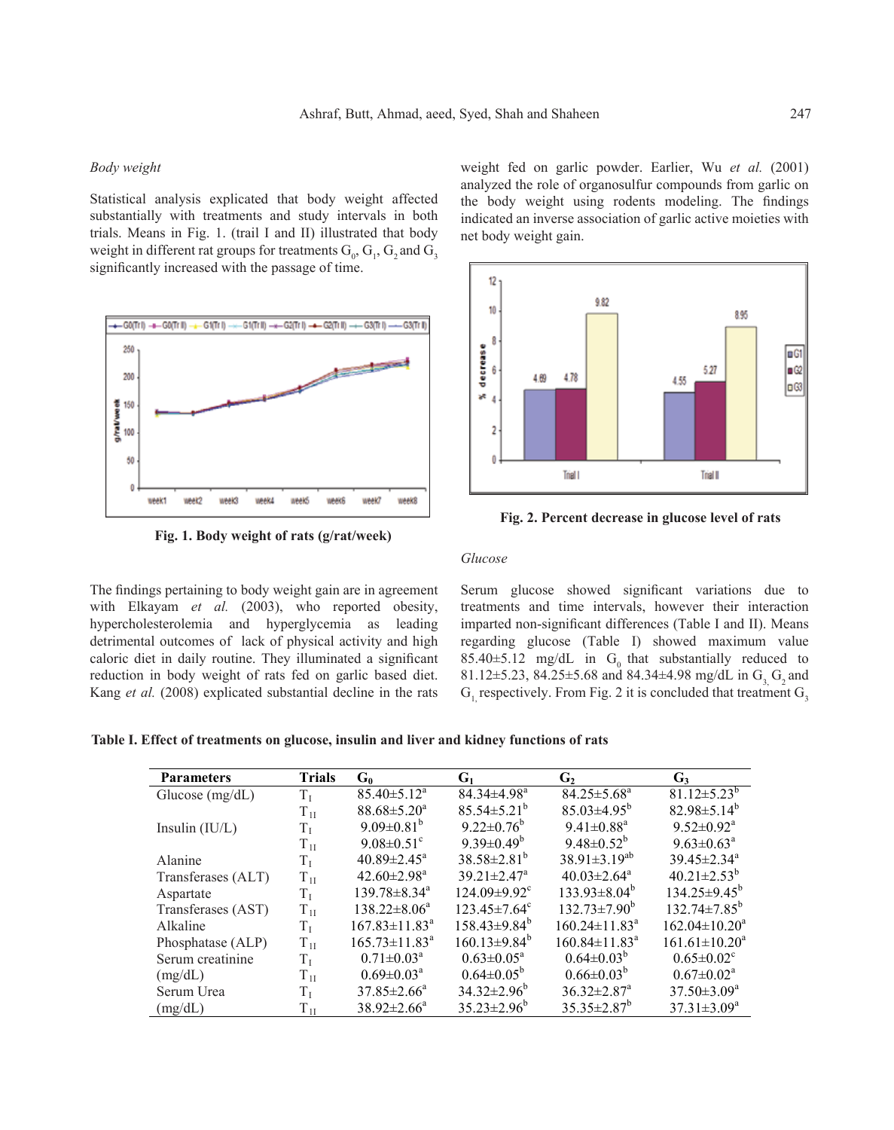## *Body weight*

Statistical analysis explicated that body weight affected substantially with treatments and study intervals in both trials. Means in Fig. 1. (trail I and II) illustrated that body weight in different rat groups for treatments  $G_0$ ,  $G_1$ ,  $G_2$  and  $G_3$ significantly increased with the passage of time.



**Fig. 1. Body weight of rats (g/rat/week)**

weight fed on garlic powder. Earlier, Wu *et al.* (2001) analyzed the role of organosulfur compounds from garlic on the body weight using rodents modeling. The findings indicated an inverse association of garlic active moieties with net body weight gain.



**Fig. 2. Percent decrease in glucose level of rats**

# *Glucose*

The findings pertaining to body weight gain are in agreement with Elkayam *et al.* (2003), who reported obesity, hypercholesterolemia and hyperglycemia as leading detrimental outcomes of lack of physical activity and high caloric diet in daily routine. They illuminated a significant reduction in body weight of rats fed on garlic based diet. Kang *et al.* (2008) explicated substantial decline in the rats

Serum glucose showed significant variations due to treatments and time intervals, however their interaction imparted non-significant differences (Table I and II). Means regarding glucose (Table I) showed maximum value 85.40 $\pm$ 5.12 mg/dL in G<sub>0</sub> that substantially reduced to 81.12 $\pm$ 5.23, 84.25 $\pm$ 5.68 and 84.34 $\pm$ 4.98 mg/dL in G<sub>3</sub> G<sub>2</sub> and  $G_1$  respectively. From Fig. 2 it is concluded that treatment  $G_3$ 

**Table I. Effect of treatments on glucose, insulin and liver and kidney functions of rats**

| <b>Parameters</b>  | <b>Trials</b> | $G_0$                        | $G_1$                          | $\mathbf{G}$                    | $G_3$                         |
|--------------------|---------------|------------------------------|--------------------------------|---------------------------------|-------------------------------|
| Glucose $(mg/dL)$  | $T_{I}$       | $85.40 \pm 5.12^a$           | $84.34 \pm 4.98$ <sup>a</sup>  | $84.25 \pm 5.68^a$              | $81.12 \pm 5.23^b$            |
|                    | $T_{1I}$      | $88.68 \pm 5.20^a$           | $85.54 \pm 5.21^b$             | $85.03 \pm 4.95^b$              | $82.98 \pm 5.14^b$            |
| Insulin $(IU/L)$   | $T_{\rm I}$   | 9.09 $\pm$ 0.81 <sup>b</sup> | $9.22 \pm 0.76^b$              | $9.41 \pm 0.88$ <sup>a</sup>    | $9.52 \pm 0.92^a$             |
|                    | $T_{1I}$      | $9.08 \pm 0.51$ <sup>c</sup> | 9.39 $\pm$ 0.49 <sup>b</sup>   | $9.48 \pm 0.52^b$               | $9.63 \pm 0.63^{\text{a}}$    |
| Alanine            | $T_{\rm I}$   | $40.89 \pm 2.45^{\circ}$     | $38.58 \pm 2.81^b$             | $38.91 \pm 3.19^{ab}$           | $39.45 \pm 2.34$ <sup>a</sup> |
| Transferases (ALT) | $\rm T_{1I}$  | $42.60 \pm 2.98^{\text{a}}$  | $39.21 \pm 2.47$ <sup>a</sup>  | $40.03 \pm 2.64$ <sup>a</sup>   | $40.21 \pm 2.53^b$            |
| Aspartate          | $T_{\rm I}$   | $139.78\pm8.34^{\text{a}}$   | $124.09 \pm 9.92$ <sup>c</sup> | $133.93\pm8.04^b$               | $134.25 \pm 9.45^{\circ}$     |
| Transferases (AST) | $T_{1I}$      | $138.22 \pm 8.06^a$          | $123.45 \pm 7.64^{\circ}$      | $132.73 \pm 7.90^{\circ}$       | $132.74 \pm 7.85^b$           |
| Alkaline           | $T_{\rm L}$   | $167.83 \pm 11.83^a$         | $158.43\pm9.84^{\circ}$        | $160.24 \pm 11.83$ <sup>a</sup> | $162.04 \pm 10.20^a$          |
| Phosphatase (ALP)  | $T_{1I}$      | $165.73 \pm 11.83^a$         | $160.13\pm9.84^b$              | $160.84 \pm 11.83$ <sup>a</sup> | $161.61 \pm 10.20^a$          |
| Serum creatinine   | $\rm T_I$     | $0.71 \pm 0.03^{\text{a}}$   | $0.63 \pm 0.05^a$              | $0.64 \pm 0.03^{b}$             | $0.65 \pm 0.02^{\circ}$       |
| (mg/dL)            | $T_{1I}$      | $0.69 \pm 0.03^a$            | $0.64 \pm 0.05^b$              | $0.66 \pm 0.03^{b}$             | $0.67 \pm 0.02^a$             |
| Serum Urea         | $T_{\rm I}$   | $37.85 \pm 2.66^a$           | $34.32 \pm 2.96^b$             | $36.32 \pm 2.87$ <sup>a</sup>   | $37.50 \pm 3.09^a$            |
| (mg/dL)            | $T_{1I}$      | $38.92 \pm 2.66^a$           | $35.23 \pm 2.96^{\circ}$       | $35.35 \pm 2.87^b$              | $37.31 \pm 3.09^a$            |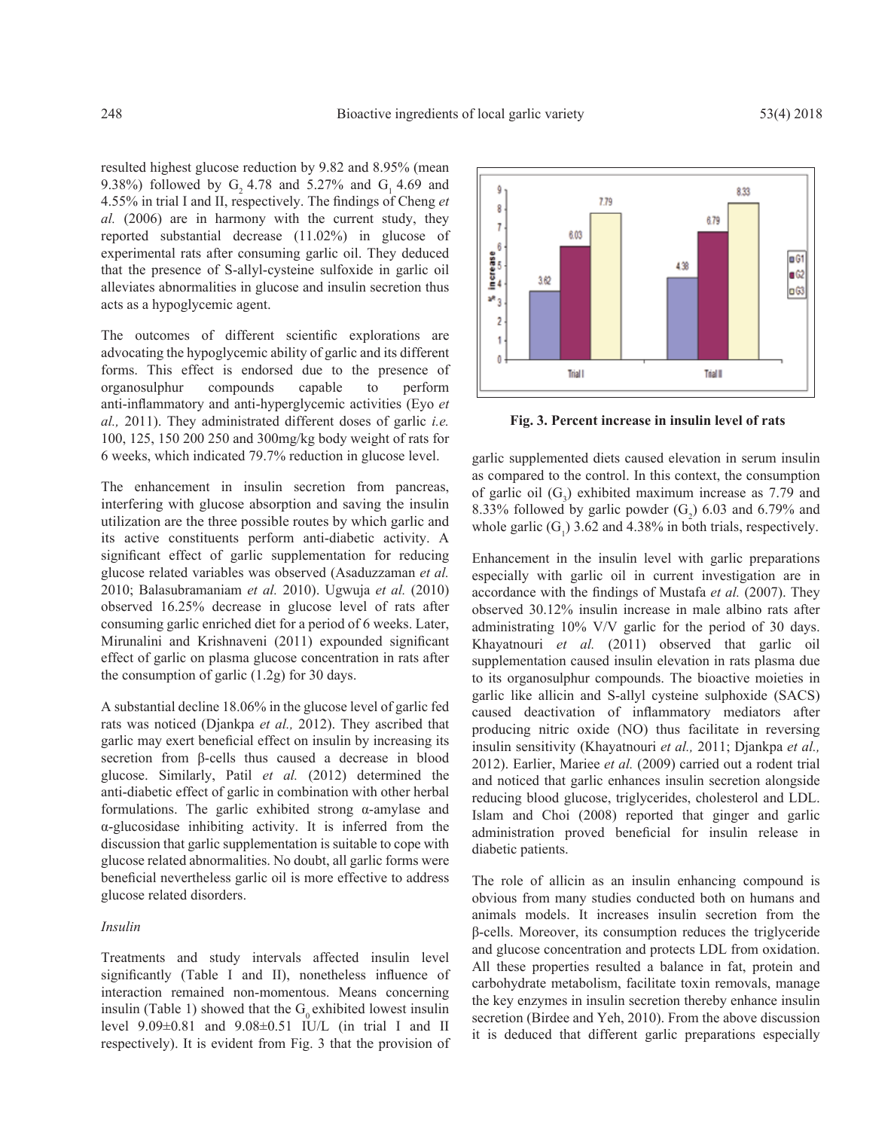resulted highest glucose reduction by 9.82 and 8.95% (mean 9.38%) followed by G<sub>2</sub> 4.78 and 5.27% and G<sub>1</sub> 4.69 and 4.55% in trial I and II, respectively. The findings of Cheng *et al.* (2006) are in harmony with the current study, they reported substantial decrease (11.02%) in glucose of experimental rats after consuming garlic oil. They deduced that the presence of S-allyl-cysteine sulfoxide in garlic oil alleviates abnormalities in glucose and insulin secretion thus acts as a hypoglycemic agent.

The outcomes of different scientific explorations are advocating the hypoglycemic ability of garlic and its different forms. This effect is endorsed due to the presence of organosulphur compounds capable to perform anti-inflammatory and anti-hyperglycemic activities (Eyo *et al.,* 2011). They administrated different doses of garlic *i.e.* 100, 125, 150 200 250 and 300mg/kg body weight of rats for 6 weeks, which indicated 79.7% reduction in glucose level.

The enhancement in insulin secretion from pancreas, interfering with glucose absorption and saving the insulin utilization are the three possible routes by which garlic and its active constituents perform anti-diabetic activity. A significant effect of garlic supplementation for reducing glucose related variables was observed (Asaduzzaman *et al.*  2010; Balasubramaniam *et al.* 2010). Ugwuja *et al.* (2010) observed 16.25% decrease in glucose level of rats after consuming garlic enriched diet for a period of 6 weeks. Later, Mirunalini and Krishnaveni (2011) expounded significant effect of garlic on plasma glucose concentration in rats after the consumption of garlic (1.2g) for 30 days.

A substantial decline 18.06% in the glucose level of garlic fed rats was noticed (Djankpa *et al.,* 2012). They ascribed that garlic may exert beneficial effect on insulin by increasing its secretion from β-cells thus caused a decrease in blood glucose. Similarly, Patil *et al.* (2012) determined the anti-diabetic effect of garlic in combination with other herbal formulations. The garlic exhibited strong  $\alpha$ -amylase and α-glucosidase inhibiting activity. It is inferred from the discussion that garlic supplementation is suitable to cope with glucose related abnormalities. No doubt, all garlic forms were beneficial nevertheless garlic oil is more effective to address glucose related disorders.

#### *Insulin*

Treatments and study intervals affected insulin level significantly (Table I and II), nonetheless influence of interaction remained non-momentous. Means concerning insulin (Table 1) showed that the  $G_0$  exhibited lowest insulin level 9.09±0.81 and 9.08±0.51 IU/L (in trial I and II respectively). It is evident from Fig. 3 that the provision of



**Fig. 3. Percent increase in insulin level of rats**

garlic supplemented diets caused elevation in serum insulin as compared to the control. In this context, the consumption of garlic oil  $(G_3)$  exhibited maximum increase as 7.79 and 8.33% followed by garlic powder  $(G_2)$  6.03 and 6.79% and whole garlic  $(G_1)$  3.62 and 4.38% in both trials, respectively.

Enhancement in the insulin level with garlic preparations especially with garlic oil in current investigation are in accordance with the findings of Mustafa *et al.* (2007). They observed 30.12% insulin increase in male albino rats after administrating 10% V/V garlic for the period of 30 days. Khayatnouri *et al.* (2011) observed that garlic oil supplementation caused insulin elevation in rats plasma due to its organosulphur compounds. The bioactive moieties in garlic like allicin and S-allyl cysteine sulphoxide (SACS) caused deactivation of inflammatory mediators after producing nitric oxide (NO) thus facilitate in reversing insulin sensitivity (Khayatnouri *et al.,* 2011; Djankpa *et al.,* 2012). Earlier, Mariee *et al.* (2009) carried out a rodent trial and noticed that garlic enhances insulin secretion alongside reducing blood glucose, triglycerides, cholesterol and LDL. Islam and Choi (2008) reported that ginger and garlic administration proved beneficial for insulin release in diabetic patients.

The role of allicin as an insulin enhancing compound is obvious from many studies conducted both on humans and animals models. It increases insulin secretion from the β-cells. Moreover, its consumption reduces the triglyceride and glucose concentration and protects LDL from oxidation. All these properties resulted a balance in fat, protein and carbohydrate metabolism, facilitate toxin removals, manage the key enzymes in insulin secretion thereby enhance insulin secretion (Birdee and Yeh, 2010). From the above discussion it is deduced that different garlic preparations especially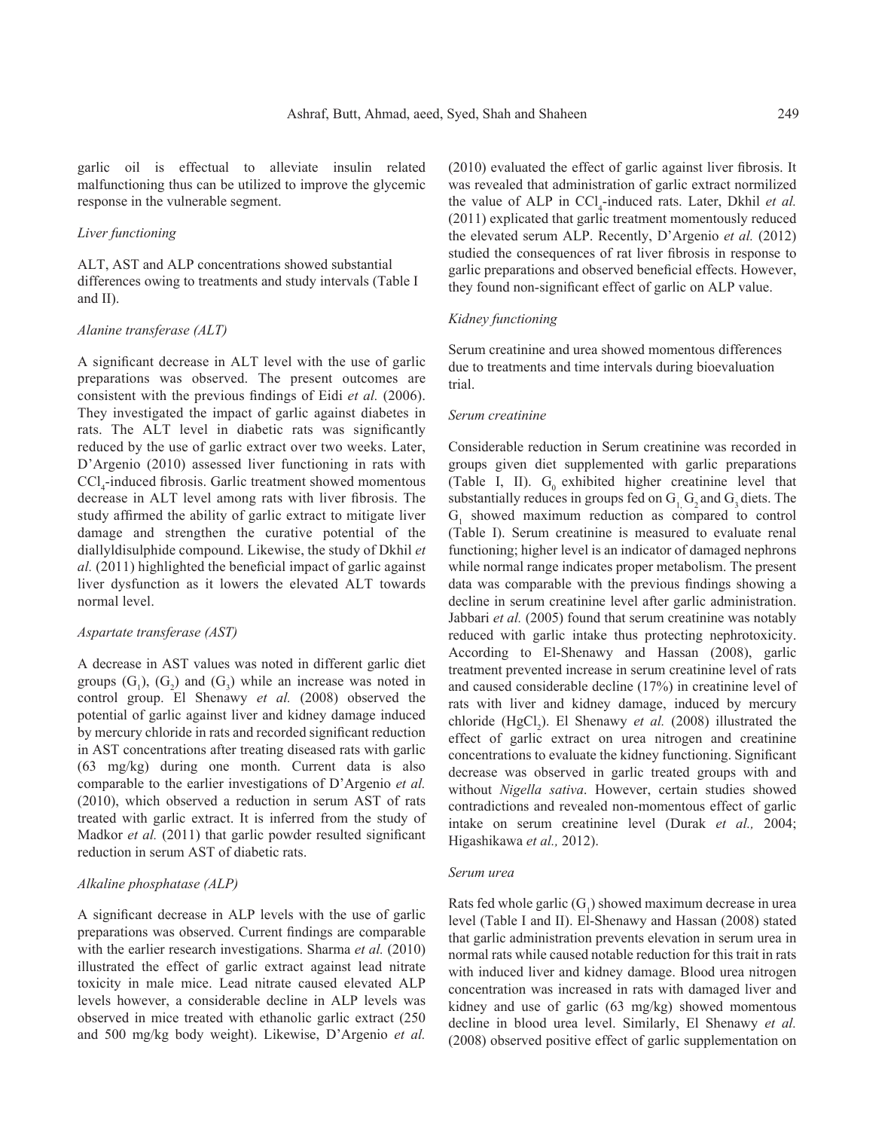garlic oil is effectual to alleviate insulin related malfunctioning thus can be utilized to improve the glycemic response in the vulnerable segment.

# *Liver functioning*

ALT, AST and ALP concentrations showed substantial differences owing to treatments and study intervals (Table I and II).

#### *Alanine transferase (ALT)*

A significant decrease in ALT level with the use of garlic preparations was observed. The present outcomes are consistent with the previous findings of Eidi *et al.* (2006). They investigated the impact of garlic against diabetes in rats. The ALT level in diabetic rats was significantly reduced by the use of garlic extract over two weeks. Later, D'Argenio (2010) assessed liver functioning in rats with CCl4 -induced fibrosis. Garlic treatment showed momentous decrease in ALT level among rats with liver fibrosis. The study affirmed the ability of garlic extract to mitigate liver damage and strengthen the curative potential of the diallyldisulphide compound. Likewise, the study of Dkhil *et al.* (2011) highlighted the beneficial impact of garlic against liver dysfunction as it lowers the elevated ALT towards normal level.

### *Aspartate transferase (AST)*

A decrease in AST values was noted in different garlic diet groups  $(G_1)$ ,  $(G_2)$  and  $(G_3)$  while an increase was noted in control group. El Shenawy *et al.* (2008) observed the potential of garlic against liver and kidney damage induced by mercury chloride in rats and recorded significant reduction in AST concentrations after treating diseased rats with garlic (63 mg/kg) during one month. Current data is also comparable to the earlier investigations of D'Argenio *et al.* (2010), which observed a reduction in serum AST of rats treated with garlic extract. It is inferred from the study of Madkor *et al.* (2011) that garlic powder resulted significant reduction in serum AST of diabetic rats.

#### *Alkaline phosphatase (ALP)*

A significant decrease in ALP levels with the use of garlic preparations was observed. Current findings are comparable with the earlier research investigations. Sharma *et al.* (2010) illustrated the effect of garlic extract against lead nitrate toxicity in male mice. Lead nitrate caused elevated ALP levels however, a considerable decline in ALP levels was observed in mice treated with ethanolic garlic extract (250 and 500 mg/kg body weight). Likewise, D'Argenio *et al.*

(2010) evaluated the effect of garlic against liver fibrosis. It was revealed that administration of garlic extract normilized the value of ALP in  $\text{CCl}_4$ -induced rats. Later, Dkhil *et al.* (2011) explicated that garlic treatment momentously reduced the elevated serum ALP. Recently, D'Argenio *et al.* (2012) studied the consequences of rat liver fibrosis in response to garlic preparations and observed beneficial effects. However, they found non-significant effect of garlic on ALP value.

## *Kidney functioning*

Serum creatinine and urea showed momentous differences due to treatments and time intervals during bioevaluation trial.

## *Serum creatinine*

Considerable reduction in Serum creatinine was recorded in groups given diet supplemented with garlic preparations (Table I, II).  $G_0$  exhibited higher creatinine level that substantially reduces in groups fed on  $G_1$ ,  $G_2$  and  $G_3$  diets. The  $G<sub>1</sub>$  showed maximum reduction as compared to control (Table I). Serum creatinine is measured to evaluate renal functioning; higher level is an indicator of damaged nephrons while normal range indicates proper metabolism. The present data was comparable with the previous findings showing a decline in serum creatinine level after garlic administration. Jabbari *et al.* (2005) found that serum creatinine was notably reduced with garlic intake thus protecting nephrotoxicity. According to El-Shenawy and Hassan (2008), garlic treatment prevented increase in serum creatinine level of rats and caused considerable decline (17%) in creatinine level of rats with liver and kidney damage, induced by mercury chloride (HgCl<sub>2</sub>). El Shenawy *et al.* (2008) illustrated the effect of garlic extract on urea nitrogen and creatinine concentrations to evaluate the kidney functioning. Significant decrease was observed in garlic treated groups with and without *Nigella sativa*. However, certain studies showed contradictions and revealed non-momentous effect of garlic intake on serum creatinine level (Durak *et al.,* 2004; Higashikawa *et al.,* 2012).

#### *Serum urea*

Rats fed whole garlic  $(G_1)$  showed maximum decrease in urea level (Table I and II). El-Shenawy and Hassan (2008) stated that garlic administration prevents elevation in serum urea in normal rats while caused notable reduction for this trait in rats with induced liver and kidney damage. Blood urea nitrogen concentration was increased in rats with damaged liver and kidney and use of garlic (63 mg/kg) showed momentous decline in blood urea level. Similarly, El Shenawy *et al.* (2008) observed positive effect of garlic supplementation on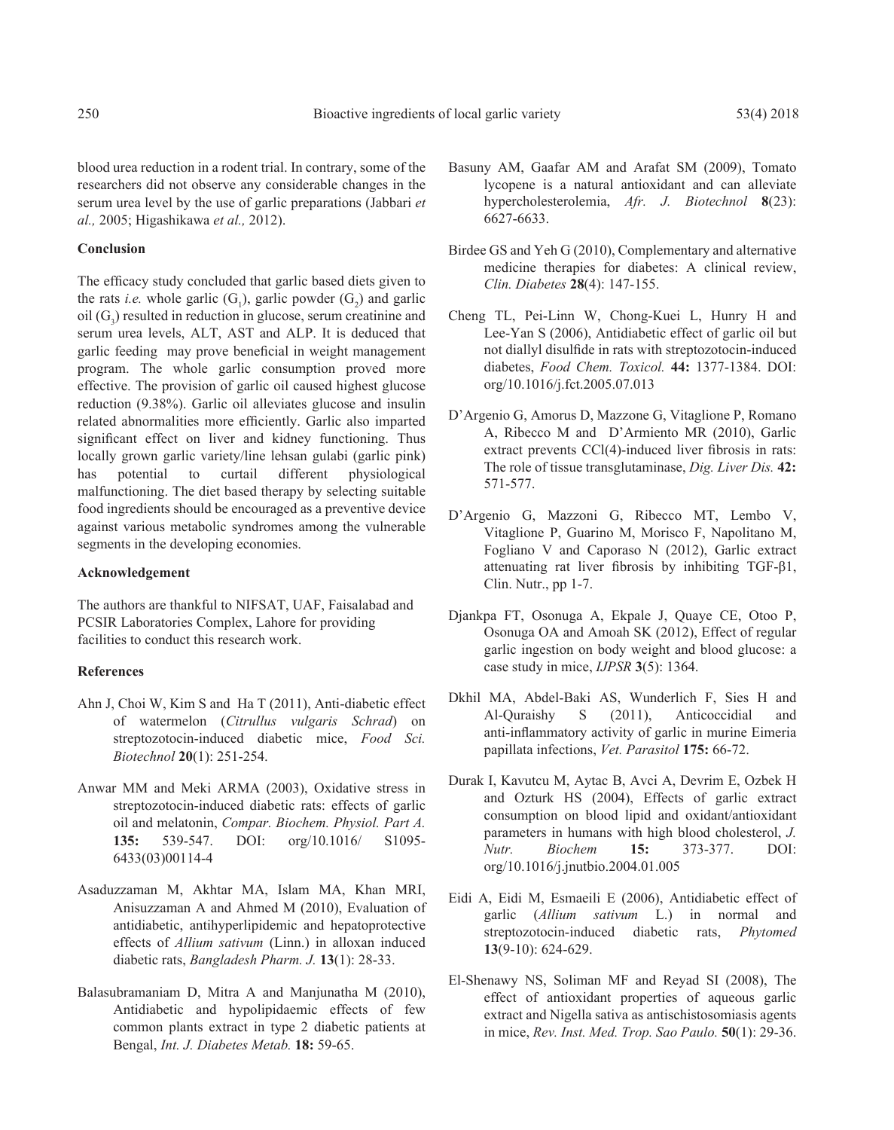blood urea reduction in a rodent trial. In contrary, some of the researchers did not observe any considerable changes in the serum urea level by the use of garlic preparations (Jabbari *et al.,* 2005; Higashikawa *et al.,* 2012).

## **Conclusion**

The efficacy study concluded that garlic based diets given to the rats *i.e.* whole garlic  $(G_1)$ , garlic powder  $(G_2)$  and garlic oil  $(G_3)$  resulted in reduction in glucose, serum creatinine and serum urea levels, ALT, AST and ALP. It is deduced that garlic feeding may prove beneficial in weight management program. The whole garlic consumption proved more effective. The provision of garlic oil caused highest glucose reduction (9.38%). Garlic oil alleviates glucose and insulin related abnormalities more efficiently. Garlic also imparted significant effect on liver and kidney functioning. Thus locally grown garlic variety/line lehsan gulabi (garlic pink) has potential to curtail different physiological malfunctioning. The diet based therapy by selecting suitable food ingredients should be encouraged as a preventive device against various metabolic syndromes among the vulnerable segments in the developing economies.

# **Acknowledgement**

The authors are thankful to NIFSAT, UAF, Faisalabad and PCSIR Laboratories Complex, Lahore for providing facilities to conduct this research work.

## **References**

- Ahn J, Choi W, Kim S and Ha T (2011), Anti-diabetic effect of watermelon (*Citrullus vulgaris Schrad*) on streptozotocin-induced diabetic mice, *Food Sci. Biotechnol* **20**(1): 251-254.
- Anwar MM and Meki ARMA (2003), Oxidative stress in streptozotocin-induced diabetic rats: effects of garlic oil and melatonin, *Compar. Biochem. Physiol. Part A.*  **135:** 539-547. DOI: org/10.1016/ S1095- 6433(03)00114-4
- Asaduzzaman M, Akhtar MA, Islam MA, Khan MRI, Anisuzzaman A and Ahmed M (2010), Evaluation of antidiabetic, antihyperlipidemic and hepatoprotective effects of *Allium sativum* (Linn.) in alloxan induced diabetic rats, *Bangladesh Pharm. J.* **13**(1): 28-33.
- Balasubramaniam D, Mitra A and Manjunatha M (2010), Antidiabetic and hypolipidaemic effects of few common plants extract in type 2 diabetic patients at Bengal, *Int. J. Diabetes Metab.* **18:** 59-65.
- Basuny AM, Gaafar AM and Arafat SM (2009), Tomato lycopene is a natural antioxidant and can alleviate hypercholesterolemia, *Afr. J. Biotechnol* **8**(23): 6627-6633.
- Birdee GS and Yeh G (2010), Complementary and alternative medicine therapies for diabetes: A clinical review, *Clin. Diabetes* **28**(4): 147-155.
- Cheng TL, Pei-Linn W, Chong-Kuei L, Hunry H and Lee-Yan S (2006), Antidiabetic effect of garlic oil but not diallyl disulfide in rats with streptozotocin-induced diabetes, *Food Chem. Toxicol.* **44:** 1377-1384. DOI: org/10.1016/j.fct.2005.07.013
- D'Argenio G, Amorus D, Mazzone G, Vitaglione P, Romano A, Ribecco M and D'Armiento MR (2010), Garlic extract prevents CCl(4)-induced liver fibrosis in rats: The role of tissue transglutaminase, *Dig. Liver Dis.* **42:**  571-577.
- D'Argenio G, Mazzoni G, Ribecco MT, Lembo V, Vitaglione P, Guarino M, Morisco F, Napolitano M, Fogliano V and Caporaso N (2012), Garlic extract attenuating rat liver fibrosis by inhibiting TGF-β1, Clin. Nutr., pp 1-7.
- Djankpa FT, Osonuga A, Ekpale J, Quaye CE, Otoo P, Osonuga OA and Amoah SK (2012), Effect of regular garlic ingestion on body weight and blood glucose: a case study in mice, *IJPSR* **3**(5): 1364.
- Dkhil MA, Abdel-Baki AS, Wunderlich F, Sies H and Al-Quraishy S (2011), Anticoccidial and anti-inflammatory activity of garlic in murine Eimeria papillata infections, *Vet. Parasitol* **175:** 66-72.
- Durak I, Kavutcu M, Aytac B, Avci A, Devrim E, Ozbek H and Ozturk HS (2004), Effects of garlic extract consumption on blood lipid and oxidant/antioxidant parameters in humans with high blood cholesterol, *J. Nutr. Biochem* **15:** 373-377. DOI: org/10.1016/j.jnutbio.2004.01.005
- Eidi A, Eidi M, Esmaeili E (2006), Antidiabetic effect of garlic (*Allium sativum* L.) in normal and streptozotocin-induced diabetic rats, *Phytomed* **13**(9-10): 624-629.
- El-Shenawy NS, Soliman MF and Reyad SI (2008), The effect of antioxidant properties of aqueous garlic extract and Nigella sativa as antischistosomiasis agents in mice, *Rev. Inst. Med. Trop. Sao Paulo.* **50**(1): 29-36.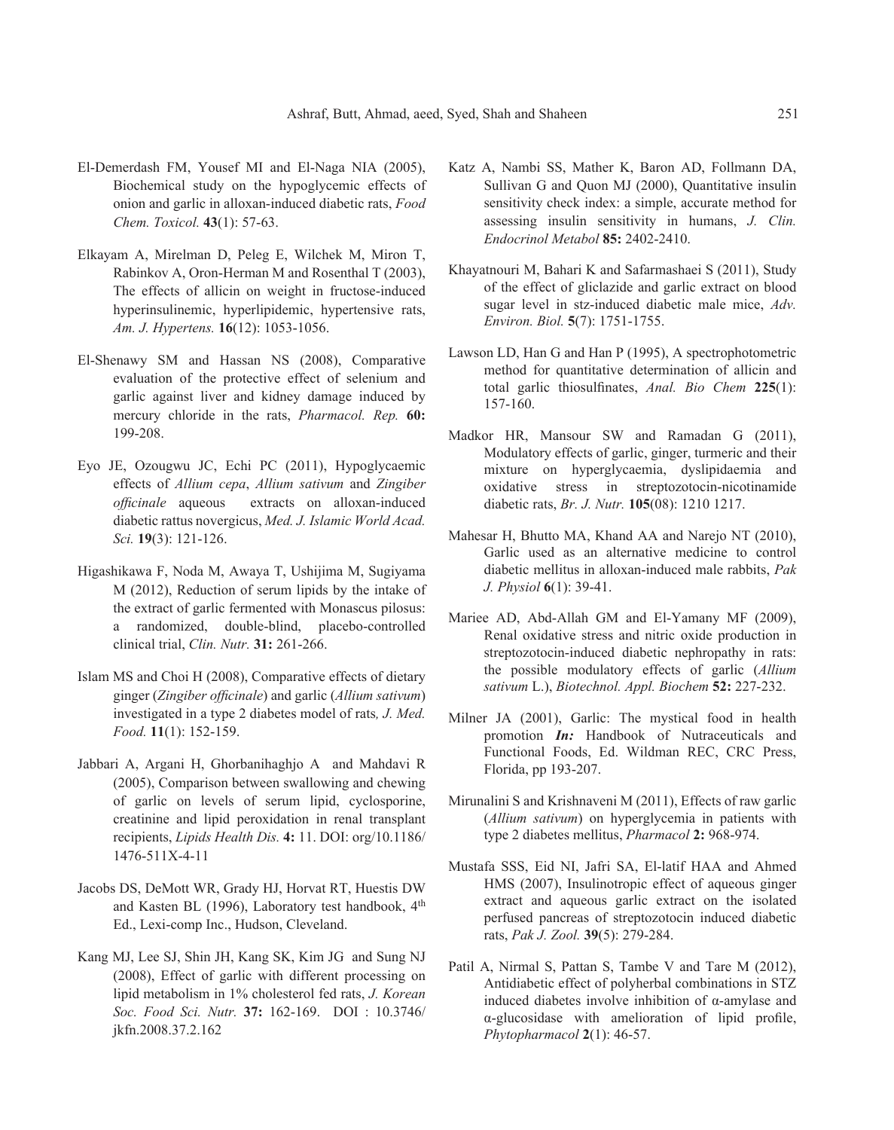- El-Demerdash FM, Yousef MI and El-Naga NIA (2005), Biochemical study on the hypoglycemic effects of onion and garlic in alloxan-induced diabetic rats, *Food Chem. Toxicol.* **43**(1): 57-63.
- Elkayam A, Mirelman D, Peleg E, Wilchek M, Miron T, Rabinkov A, Oron-Herman M and Rosenthal T (2003), The effects of allicin on weight in fructose-induced hyperinsulinemic, hyperlipidemic, hypertensive rats, *Am. J. Hypertens.* **16**(12): 1053-1056.
- El-Shenawy SM and Hassan NS (2008), Comparative evaluation of the protective effect of selenium and garlic against liver and kidney damage induced by mercury chloride in the rats, *Pharmacol. Rep.* **60:** 199-208.
- Eyo JE, Ozougwu JC, Echi PC (2011), Hypoglycaemic effects of *Allium cepa*, *Allium sativum* and *Zingiber officinale* aqueous extracts on alloxan-induced diabetic rattus novergicus, *Med. J. Islamic World Acad. Sci.* **19**(3): 121-126.
- Higashikawa F, Noda M, Awaya T, Ushijima M, Sugiyama M (2012), Reduction of serum lipids by the intake of the extract of garlic fermented with Monascus pilosus: a randomized, double-blind, placebo-controlled clinical trial, *Clin. Nutr.* **31:** 261-266.
- Islam MS and Choi H (2008), Comparative effects of dietary ginger (*Zingiber officinale*) and garlic (*Allium sativum*) investigated in a type 2 diabetes model of rats*, J. Med. Food.* **11**(1): 152-159.
- Jabbari A, Argani H, Ghorbanihaghjo A and Mahdavi R (2005), Comparison between swallowing and chewing of garlic on levels of serum lipid, cyclosporine, creatinine and lipid peroxidation in renal transplant recipients, *Lipids Health Dis.* **4:** 11. DOI: org/10.1186/ 1476-511X-4-11
- Jacobs DS, DeMott WR, Grady HJ, Horvat RT, Huestis DW and Kasten BL (1996), Laboratory test handbook, 4th Ed., Lexi-comp Inc., Hudson, Cleveland.
- Kang MJ, Lee SJ, Shin JH, Kang SK, Kim JG and Sung NJ (2008), Effect of garlic with different processing on lipid metabolism in 1% cholesterol fed rats, *J. Korean Soc. Food Sci. Nutr.* **37:** 162-169. DOI : 10.3746/ jkfn.2008.37.2.162
- Katz A, Nambi SS, Mather K, Baron AD, Follmann DA, Sullivan G and Quon MJ (2000), Quantitative insulin sensitivity check index: a simple, accurate method for assessing insulin sensitivity in humans, *J. Clin. Endocrinol Metabol* **85:** 2402-2410.
- Khayatnouri M, Bahari K and Safarmashaei S (2011), Study of the effect of gliclazide and garlic extract on blood sugar level in stz-induced diabetic male mice, *Adv. Environ. Biol.* **5**(7): 1751-1755.
- Lawson LD, Han G and Han P (1995), A spectrophotometric method for quantitative determination of allicin and total garlic thiosulfinates, *Anal. Bio Chem* **225**(1): 157-160.
- Madkor HR, Mansour SW and Ramadan G (2011), Modulatory effects of garlic, ginger, turmeric and their mixture on hyperglycaemia, dyslipidaemia and oxidative stress in streptozotocin-nicotinamide diabetic rats, *Br. J. Nutr.* **105**(08): 1210 1217.
- Mahesar H, Bhutto MA, Khand AA and Narejo NT (2010), Garlic used as an alternative medicine to control diabetic mellitus in alloxan-induced male rabbits, *Pak J. Physiol* **6**(1): 39-41.
- Mariee AD, Abd-Allah GM and El-Yamany MF (2009), Renal oxidative stress and nitric oxide production in streptozotocin-induced diabetic nephropathy in rats: the possible modulatory effects of garlic (*Allium sativum* L.), *Biotechnol. Appl. Biochem* **52:** 227-232.
- Milner JA (2001), Garlic: The mystical food in health promotion *In:* Handbook of Nutraceuticals and Functional Foods, Ed. Wildman REC, CRC Press, Florida, pp 193-207.
- Mirunalini S and Krishnaveni M (2011), Effects of raw garlic (*Allium sativum*) on hyperglycemia in patients with type 2 diabetes mellitus, *Pharmacol* **2:** 968-974.
- Mustafa SSS, Eid NI, Jafri SA, El-latif HAA and Ahmed HMS (2007), Insulinotropic effect of aqueous ginger extract and aqueous garlic extract on the isolated perfused pancreas of streptozotocin induced diabetic rats, *Pak J. Zool.* **39**(5): 279-284.
- Patil A, Nirmal S, Pattan S, Tambe V and Tare M (2012), Antidiabetic effect of polyherbal combinations in STZ induced diabetes involve inhibition of α-amylase and α-glucosidase with amelioration of lipid profile, *Phytopharmacol* **2**(1): 46-57.